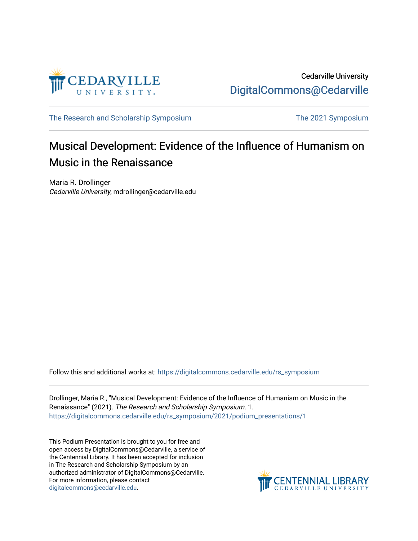

[The Research and Scholarship Symposium](https://digitalcommons.cedarville.edu/rs_symposium) The 2021 Symposium

## Musical Development: Evidence of the Influence of Humanism on Music in the Renaissance

Maria R. Drollinger Cedarville University, mdrollinger@cedarville.edu

Follow this and additional works at: [https://digitalcommons.cedarville.edu/rs\\_symposium](https://digitalcommons.cedarville.edu/rs_symposium?utm_source=digitalcommons.cedarville.edu%2Frs_symposium%2F2021%2Fpodium_presentations%2F1&utm_medium=PDF&utm_campaign=PDFCoverPages) 

Drollinger, Maria R., "Musical Development: Evidence of the Influence of Humanism on Music in the Renaissance" (2021). The Research and Scholarship Symposium. 1. [https://digitalcommons.cedarville.edu/rs\\_symposium/2021/podium\\_presentations/1](https://digitalcommons.cedarville.edu/rs_symposium/2021/podium_presentations/1?utm_source=digitalcommons.cedarville.edu%2Frs_symposium%2F2021%2Fpodium_presentations%2F1&utm_medium=PDF&utm_campaign=PDFCoverPages)

This Podium Presentation is brought to you for free and open access by DigitalCommons@Cedarville, a service of the Centennial Library. It has been accepted for inclusion in The Research and Scholarship Symposium by an authorized administrator of DigitalCommons@Cedarville. For more information, please contact [digitalcommons@cedarville.edu](mailto:digitalcommons@cedarville.edu).

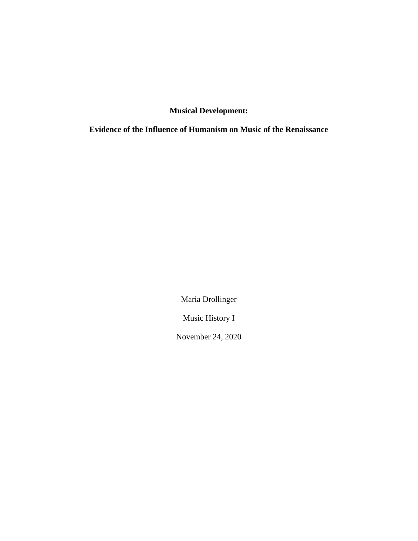**Musical Development:**

**Evidence of the Influence of Humanism on Music of the Renaissance**

Maria Drollinger

Music History I

November 24, 2020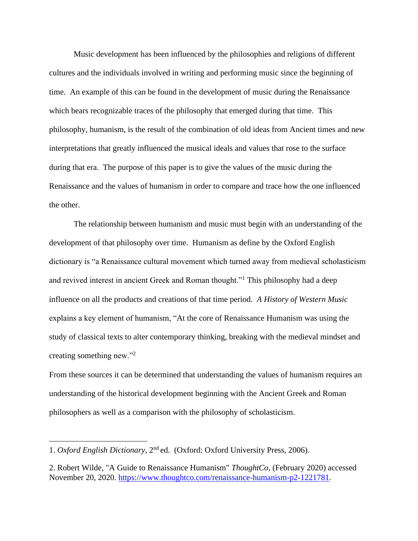Music development has been influenced by the philosophies and religions of different cultures and the individuals involved in writing and performing music since the beginning of time. An example of this can be found in the development of music during the Renaissance which bears recognizable traces of the philosophy that emerged during that time. This philosophy, humanism, is the result of the combination of old ideas from Ancient times and new interpretations that greatly influenced the musical ideals and values that rose to the surface during that era. The purpose of this paper is to give the values of the music during the Renaissance and the values of humanism in order to compare and trace how the one influenced the other.

The relationship between humanism and music must begin with an understanding of the development of that philosophy over time. Humanism as define by the Oxford English dictionary is "a Renaissance cultural movement which turned away from medieval scholasticism and revived interest in ancient Greek and Roman thought."<sup>1</sup> This philosophy had a deep influence on all the products and creations of that time period. *A History of Western Music* explains a key element of humanism, "At the core of Renaissance Humanism was using the study of classical texts to alter contemporary thinking, breaking with the medieval mindset and creating something new."<sup>2</sup>

From these sources it can be determined that understanding the values of humanism requires an understanding of the historical development beginning with the Ancient Greek and Roman philosophers as well as a comparison with the philosophy of scholasticism.

<sup>1.</sup> Oxford English Dictionary, 2<sup>nd</sup> ed. (Oxford: Oxford University Press, 2006).

<sup>2.</sup> Robert Wilde, "A Guide to Renaissance Humanism" *ThoughtCo,* (February 2020) accessed November 20, 2020. [https://www.thoughtco.com/renaissance-humanism-p2-1221781.](https://www.thoughtco.com/renaissance-humanism-p2-1221781)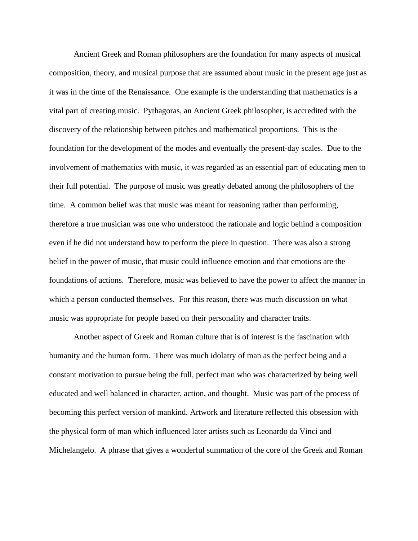Ancient Greek and Roman philosophers are the foundation for many aspects of musical composition, theory, and musical purpose that are assumed about music in the present age just as it was in the time of the Renaissance. One example is the understanding that mathematics is a vital part of creating music. Pythagoras, an Ancient Greek philosopher, is accredited with the discovery of the relationship between pitches and mathematical proportions. This is the foundation for the development of the modes and eventually the present-day scales. Due to the involvement of mathematics with music, it was regarded as an essential part of educating men to their full potential. The purpose of music was greatly debated among the philosophers of the time. A common belief was that music was meant for reasoning rather than performing, therefore a true musician was one who understood the rationale and logic behind a composition even if he did not understand how to perform the piece in question. There was also a strong belief in the power of music, that music could influence emotion and that emotions are the foundations of actions. Therefore, music was believed to have the power to affect the manner in which a person conducted themselves. For this reason, there was much discussion on what music was appropriate for people based on their personality and character traits.

Another aspect of Greek and Roman culture that is of interest is the fascination with humanity and the human form. There was much idolatry of man as the perfect being and a constant motivation to pursue being the full, perfect man who was characterized by being well educated and well balanced in character, action, and thought. Music was part of the process of becoming this perfect version of mankind. Artwork and literature reflected this obsession with the physical form of man which influenced later artists such as Leonardo da Vinci and Michelangelo. A phrase that gives a wonderful summation of the core of the Greek and Roman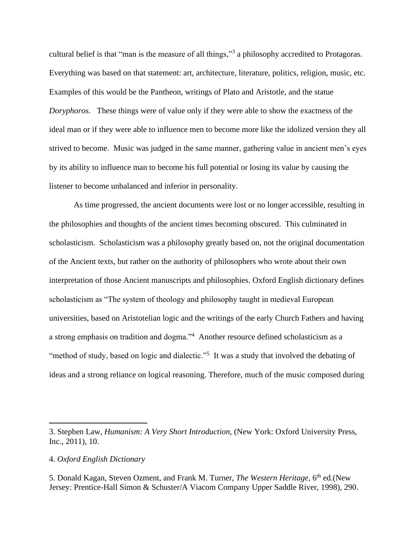cultural belief is that "man is the measure of all things,"<sup>3</sup> a philosophy accredited to Protagoras. Everything was based on that statement: art, architecture, literature, politics, religion, music, etc. Examples of this would be the Pantheon, writings of Plato and Aristotle, and the statue *Doryphoros.* These things were of value only if they were able to show the exactness of the ideal man or if they were able to influence men to become more like the idolized version they all strived to become. Music was judged in the same manner, gathering value in ancient men's eyes by its ability to influence man to become his full potential or losing its value by causing the listener to become unbalanced and inferior in personality.

As time progressed, the ancient documents were lost or no longer accessible, resulting in the philosophies and thoughts of the ancient times becoming obscured. This culminated in scholasticism. Scholasticism was a philosophy greatly based on, not the original documentation of the Ancient texts, but rather on the authority of philosophers who wrote about their own interpretation of those Ancient manuscripts and philosophies. Oxford English dictionary defines scholasticism as "The system of theology and philosophy taught in medieval European universities, based on Aristotelian logic and the writings of the early Church Fathers and having a strong emphasis on tradition and dogma."<sup>4</sup> Another resource defined scholasticism as a "method of study, based on logic and dialectic."<sup>5</sup> It was a study that involved the debating of ideas and a strong reliance on logical reasoning. Therefore, much of the music composed during

<sup>3.</sup> Stephen Law, *Humanism: A Very Short Introduction,* (New York: Oxford University Press, Inc., 2011), 10.

<sup>4.</sup> *Oxford English Dictionary*

<sup>5.</sup> Donald Kagan, Steven Ozment, and Frank M. Turner, *The Western Heritage*, 6<sup>th</sup> ed.(New Jersey: Prentice-Hall Simon & Schuster/A Viacom Company Upper Saddle River, 1998), 290.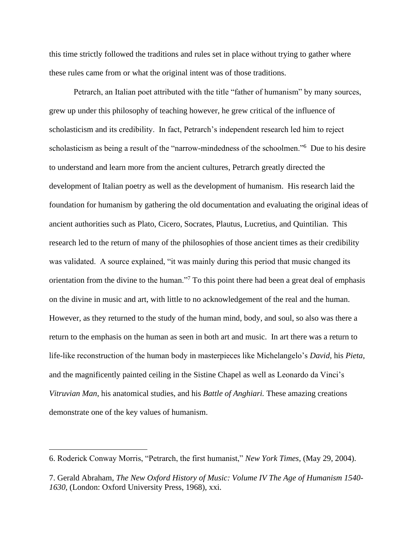this time strictly followed the traditions and rules set in place without trying to gather where these rules came from or what the original intent was of those traditions.

Petrarch, an Italian poet attributed with the title "father of humanism" by many sources, grew up under this philosophy of teaching however, he grew critical of the influence of scholasticism and its credibility. In fact, Petrarch's independent research led him to reject scholasticism as being a result of the "narrow-mindedness of the schoolmen."<sup>6</sup> Due to his desire to understand and learn more from the ancient cultures, Petrarch greatly directed the development of Italian poetry as well as the development of humanism. His research laid the foundation for humanism by gathering the old documentation and evaluating the original ideas of ancient authorities such as Plato, Cicero, Socrates, Plautus, Lucretius, and Quintilian. This research led to the return of many of the philosophies of those ancient times as their credibility was validated. A source explained, "it was mainly during this period that music changed its orientation from the divine to the human."<sup>7</sup> To this point there had been a great deal of emphasis on the divine in music and art, with little to no acknowledgement of the real and the human. However, as they returned to the study of the human mind, body, and soul, so also was there a return to the emphasis on the human as seen in both art and music. In art there was a return to life-like reconstruction of the human body in masterpieces like Michelangelo's *David,* his *Pieta*, and the magnificently painted ceiling in the Sistine Chapel as well as Leonardo da Vinci's *Vitruvian Man*, his anatomical studies, and his *Battle of Anghiari.* These amazing creations demonstrate one of the key values of humanism.

<sup>6.</sup> Roderick Conway Morris, "Petrarch, the first humanist," *New York Times,* (May 29, 2004).

<sup>7.</sup> Gerald Abraham, *The New Oxford History of Music: Volume IV The Age of Humanism 1540- 1630,* (London: Oxford University Press, 1968), xxi.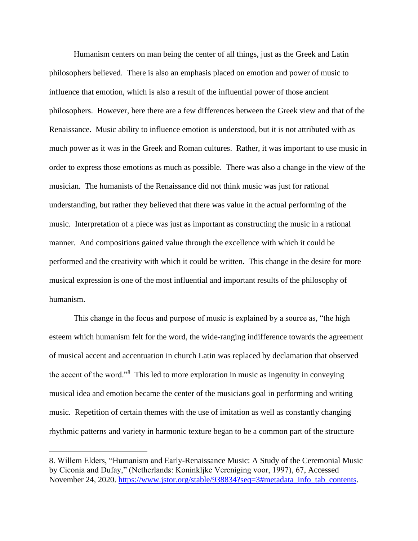Humanism centers on man being the center of all things, just as the Greek and Latin philosophers believed. There is also an emphasis placed on emotion and power of music to influence that emotion, which is also a result of the influential power of those ancient philosophers. However, here there are a few differences between the Greek view and that of the Renaissance. Music ability to influence emotion is understood, but it is not attributed with as much power as it was in the Greek and Roman cultures. Rather, it was important to use music in order to express those emotions as much as possible. There was also a change in the view of the musician. The humanists of the Renaissance did not think music was just for rational understanding, but rather they believed that there was value in the actual performing of the music. Interpretation of a piece was just as important as constructing the music in a rational manner. And compositions gained value through the excellence with which it could be performed and the creativity with which it could be written. This change in the desire for more musical expression is one of the most influential and important results of the philosophy of humanism.

This change in the focus and purpose of music is explained by a source as, "the high esteem which humanism felt for the word, the wide-ranging indifference towards the agreement of musical accent and accentuation in church Latin was replaced by declamation that observed the accent of the word."<sup>8</sup> This led to more exploration in music as ingenuity in conveying musical idea and emotion became the center of the musicians goal in performing and writing music. Repetition of certain themes with the use of imitation as well as constantly changing rhythmic patterns and variety in harmonic texture began to be a common part of the structure

<sup>8.</sup> Willem Elders, "Humanism and Early-Renaissance Music: A Study of the Ceremonial Music by Ciconia and Dufay," (Netherlands: Koninkljke Vereniging voor, 1997), 67, Accessed November 24, 2020. [https://www.jstor.org/stable/938834?seq=3#metadata\\_info\\_tab\\_contents.](https://www.jstor.org/stable/938834?seq=3#metadata_info_tab_contents)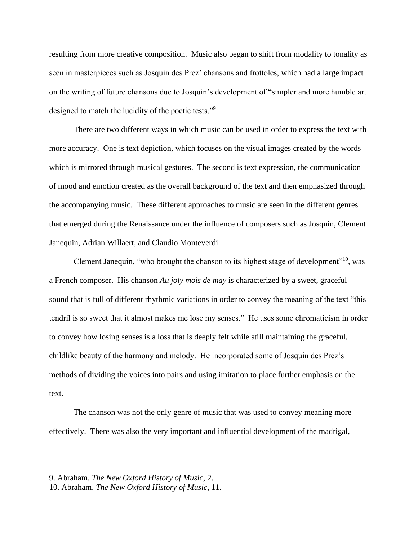resulting from more creative composition. Music also began to shift from modality to tonality as seen in masterpieces such as Josquin des Prez' chansons and frottoles, which had a large impact on the writing of future chansons due to Josquin's development of "simpler and more humble art designed to match the lucidity of the poetic tests."<sup>9</sup>

There are two different ways in which music can be used in order to express the text with more accuracy. One is text depiction, which focuses on the visual images created by the words which is mirrored through musical gestures. The second is text expression, the communication of mood and emotion created as the overall background of the text and then emphasized through the accompanying music. These different approaches to music are seen in the different genres that emerged during the Renaissance under the influence of composers such as Josquin, Clement Janequin, Adrian Willaert, and Claudio Monteverdi.

Clement Janequin, "who brought the chanson to its highest stage of development"<sup>10</sup>, was a French composer. His chanson *Au joly mois de may* is characterized by a sweet, graceful sound that is full of different rhythmic variations in order to convey the meaning of the text "this tendril is so sweet that it almost makes me lose my senses." He uses some chromaticism in order to convey how losing senses is a loss that is deeply felt while still maintaining the graceful, childlike beauty of the harmony and melody. He incorporated some of Josquin des Prez's methods of dividing the voices into pairs and using imitation to place further emphasis on the text.

The chanson was not the only genre of music that was used to convey meaning more effectively. There was also the very important and influential development of the madrigal,

<sup>9.</sup> Abraham, *The New Oxford History of Music*, 2.

<sup>10.</sup> Abraham, *The New Oxford History of Music,* 11.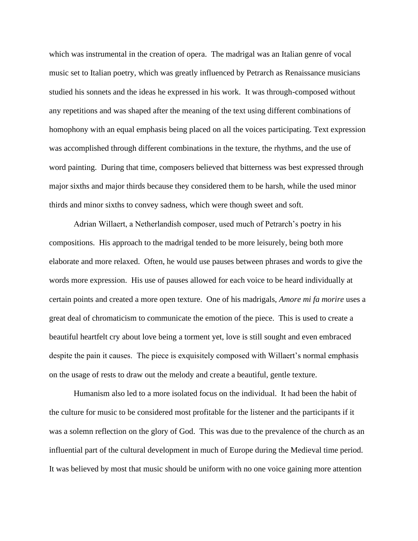which was instrumental in the creation of opera. The madrigal was an Italian genre of vocal music set to Italian poetry, which was greatly influenced by Petrarch as Renaissance musicians studied his sonnets and the ideas he expressed in his work. It was through-composed without any repetitions and was shaped after the meaning of the text using different combinations of homophony with an equal emphasis being placed on all the voices participating. Text expression was accomplished through different combinations in the texture, the rhythms, and the use of word painting. During that time, composers believed that bitterness was best expressed through major sixths and major thirds because they considered them to be harsh, while the used minor thirds and minor sixths to convey sadness, which were though sweet and soft.

Adrian Willaert, a Netherlandish composer, used much of Petrarch's poetry in his compositions. His approach to the madrigal tended to be more leisurely, being both more elaborate and more relaxed. Often, he would use pauses between phrases and words to give the words more expression. His use of pauses allowed for each voice to be heard individually at certain points and created a more open texture. One of his madrigals, *Amore mi fa morire* uses a great deal of chromaticism to communicate the emotion of the piece. This is used to create a beautiful heartfelt cry about love being a torment yet, love is still sought and even embraced despite the pain it causes. The piece is exquisitely composed with Willaert's normal emphasis on the usage of rests to draw out the melody and create a beautiful, gentle texture.

Humanism also led to a more isolated focus on the individual. It had been the habit of the culture for music to be considered most profitable for the listener and the participants if it was a solemn reflection on the glory of God. This was due to the prevalence of the church as an influential part of the cultural development in much of Europe during the Medieval time period. It was believed by most that music should be uniform with no one voice gaining more attention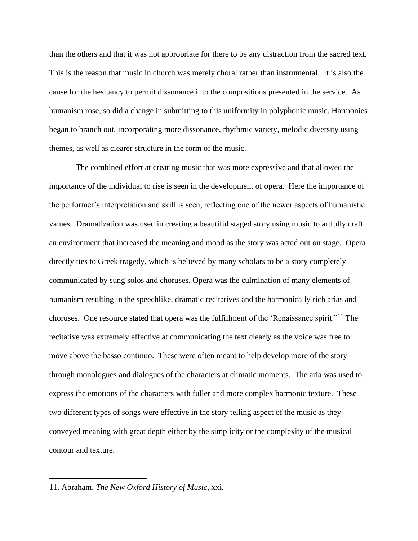than the others and that it was not appropriate for there to be any distraction from the sacred text. This is the reason that music in church was merely choral rather than instrumental. It is also the cause for the hesitancy to permit dissonance into the compositions presented in the service. As humanism rose, so did a change in submitting to this uniformity in polyphonic music. Harmonies began to branch out, incorporating more dissonance, rhythmic variety, melodic diversity using themes, as well as clearer structure in the form of the music.

The combined effort at creating music that was more expressive and that allowed the importance of the individual to rise is seen in the development of opera. Here the importance of the performer's interpretation and skill is seen, reflecting one of the newer aspects of humanistic values. Dramatization was used in creating a beautiful staged story using music to artfully craft an environment that increased the meaning and mood as the story was acted out on stage. Opera directly ties to Greek tragedy, which is believed by many scholars to be a story completely communicated by sung solos and choruses. Opera was the culmination of many elements of humanism resulting in the speechlike, dramatic recitatives and the harmonically rich arias and choruses. One resource stated that opera was the fulfillment of the 'Renaissance spirit."<sup>11</sup> The recitative was extremely effective at communicating the text clearly as the voice was free to move above the basso continuo. These were often meant to help develop more of the story through monologues and dialogues of the characters at climatic moments. The aria was used to express the emotions of the characters with fuller and more complex harmonic texture. These two different types of songs were effective in the story telling aspect of the music as they conveyed meaning with great depth either by the simplicity or the complexity of the musical contour and texture.

<sup>11.</sup> Abraham, *The New Oxford History of Music,* xxi.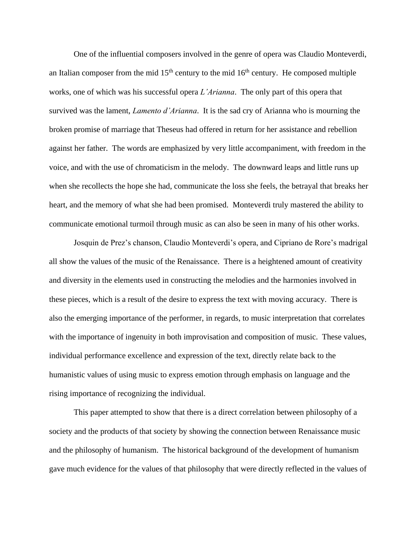One of the influential composers involved in the genre of opera was Claudio Monteverdi, an Italian composer from the mid  $15<sup>th</sup>$  century to the mid  $16<sup>th</sup>$  century. He composed multiple works, one of which was his successful opera *L'Arianna*. The only part of this opera that survived was the lament, *Lamento d'Arianna*. It is the sad cry of Arianna who is mourning the broken promise of marriage that Theseus had offered in return for her assistance and rebellion against her father. The words are emphasized by very little accompaniment, with freedom in the voice, and with the use of chromaticism in the melody. The downward leaps and little runs up when she recollects the hope she had, communicate the loss she feels, the betrayal that breaks her heart, and the memory of what she had been promised. Monteverdi truly mastered the ability to communicate emotional turmoil through music as can also be seen in many of his other works.

Josquin de Prez's chanson, Claudio Monteverdi's opera, and Cipriano de Rore's madrigal all show the values of the music of the Renaissance. There is a heightened amount of creativity and diversity in the elements used in constructing the melodies and the harmonies involved in these pieces, which is a result of the desire to express the text with moving accuracy. There is also the emerging importance of the performer, in regards, to music interpretation that correlates with the importance of ingenuity in both improvisation and composition of music. These values, individual performance excellence and expression of the text, directly relate back to the humanistic values of using music to express emotion through emphasis on language and the rising importance of recognizing the individual.

This paper attempted to show that there is a direct correlation between philosophy of a society and the products of that society by showing the connection between Renaissance music and the philosophy of humanism. The historical background of the development of humanism gave much evidence for the values of that philosophy that were directly reflected in the values of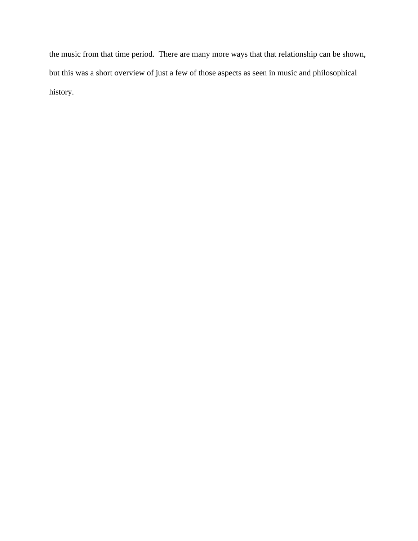the music from that time period. There are many more ways that that relationship can be shown, but this was a short overview of just a few of those aspects as seen in music and philosophical history.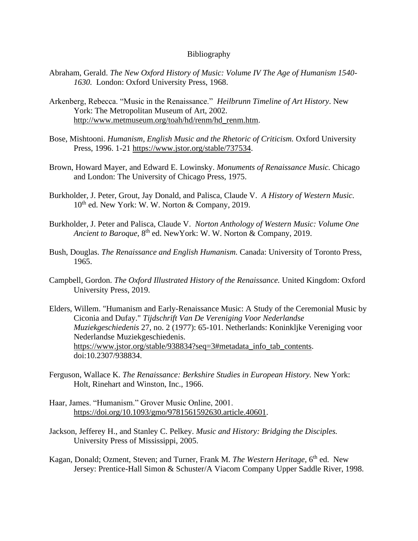## Bibliography

- Abraham, Gerald. *The New Oxford History of Music: Volume IV The Age of Humanism 1540- 1630.* London: Oxford University Press, 1968.
- Arkenberg, Rebecca. "Music in the Renaissance." *Heilbrunn Timeline of Art History*. New York: The Metropolitan Museum of Art, 2002. [http://www.metmuseum.org/toah/hd/renm/hd\\_renm.htm.](http://www.metmuseum.org/toah/hd/renm/hd_renm.htm)
- Bose, Mishtooni. *Humanism, English Music and the Rhetoric of Criticism*. Oxford University Press, 1996. 1-21 [https://www.jstor.org/stable/737534.](https://www.jstor.org/stable/737534)
- Brown, Howard Mayer, and Edward E. Lowinsky. *Monuments of Renaissance Music.* Chicago and London: The University of Chicago Press, 1975.
- Burkholder, J. Peter, Grout, Jay Donald, and Palisca, Claude V. *A History of Western Music.*   $10^{th}$  ed. New York: W. W. Norton & Company, 2019.
- Burkholder, J. Peter and Palisca, Claude V. *Norton Anthology of Western Music: Volume One*  Ancient to Baroque, 8<sup>th</sup> ed. NewYork: W. W. Norton & Company, 2019.
- Bush, Douglas. *The Renaissance and English Humanism.* Canada: University of Toronto Press, 1965.
- Campbell, Gordon. *The Oxford Illustrated History of the Renaissance.* United Kingdom: Oxford University Press, 2019.
- Elders, Willem. "Humanism and Early-Renaissance Music: A Study of the Ceremonial Music by Ciconia and Dufay." *Tijdschrift Van De Vereniging Voor Nederlandse Muziekgeschiedenis* 27, no. 2 (1977): 65-101. Netherlands: Koninkljke Vereniging voor Nederlandse Muziekgeschiedenis. [https://www.jstor.org/stable/938834?seq=3#metadata\\_info\\_tab\\_contents.](https://www.jstor.org/stable/938834?seq=3#metadata_info_tab_contents) doi:10.2307/938834.
- Ferguson, Wallace K. *The Renaissance: Berkshire Studies in European History.* New York: Holt, Rinehart and Winston, Inc., 1966.
- Haar, James. "Humanism." Grover Music Online, 2001. [https://doi.org/10.1093/gmo/9781561592630.article.40601.](https://doi.org/10.1093/gmo/9781561592630.article.40601)
- Jackson, Jefferey H., and Stanley C. Pelkey. *Music and History: Bridging the Disciples.*  University Press of Mississippi, 2005.
- Kagan, Donald; Ozment, Steven; and Turner, Frank M. *The Western Heritage*, 6<sup>th</sup> ed. New Jersey: Prentice-Hall Simon & Schuster/A Viacom Company Upper Saddle River, 1998.